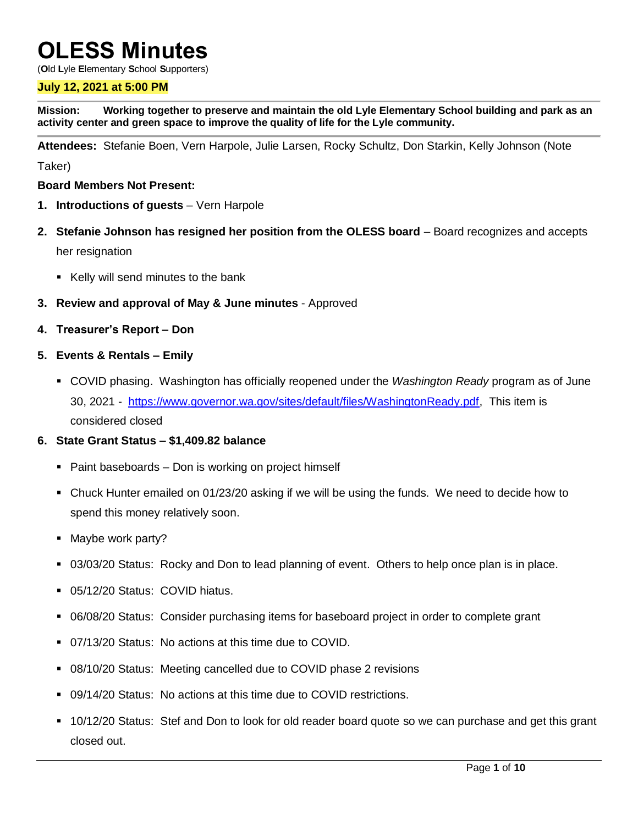# **OLESS Minutes**

(**O**ld **L**yle **E**lementary **S**chool **S**upporters)

#### **July 12, 2021 at 5:00 PM**

**Mission: Working together to preserve and maintain the old Lyle Elementary School building and park as an activity center and green space to improve the quality of life for the Lyle community.**

**Attendees:** Stefanie Boen, Vern Harpole, Julie Larsen, Rocky Schultz, Don Starkin, Kelly Johnson (Note

Taker)

#### **Board Members Not Present:**

- **1. Introductions of guests** Vern Harpole
- **2. Stefanie Johnson has resigned her position from the OLESS board** Board recognizes and accepts her resignation
	- Kelly will send minutes to the bank
- **3. Review and approval of May & June minutes** Approved
- **4. Treasurer's Report – Don**
- **5. Events & Rentals – Emily**
	- COVID phasing. Washington has officially reopened under the *Washington Ready* program as of June 30, 2021 - [https://www.governor.wa.gov/sites/default/files/WashingtonReady.pdf,](https://www.governor.wa.gov/sites/default/files/WashingtonReady.pdf) This item is considered closed

#### **6. State Grant Status – \$1,409.82 balance**

- Paint baseboards Don is working on project himself
- Chuck Hunter emailed on 01/23/20 asking if we will be using the funds. We need to decide how to spend this money relatively soon.
- Maybe work party?
- 03/03/20 Status: Rocky and Don to lead planning of event. Others to help once plan is in place.
- 05/12/20 Status: COVID hiatus.
- 06/08/20 Status: Consider purchasing items for baseboard project in order to complete grant
- 07/13/20 Status: No actions at this time due to COVID.
- 08/10/20 Status: Meeting cancelled due to COVID phase 2 revisions
- 09/14/20 Status: No actions at this time due to COVID restrictions.
- 10/12/20 Status: Stef and Don to look for old reader board quote so we can purchase and get this grant closed out.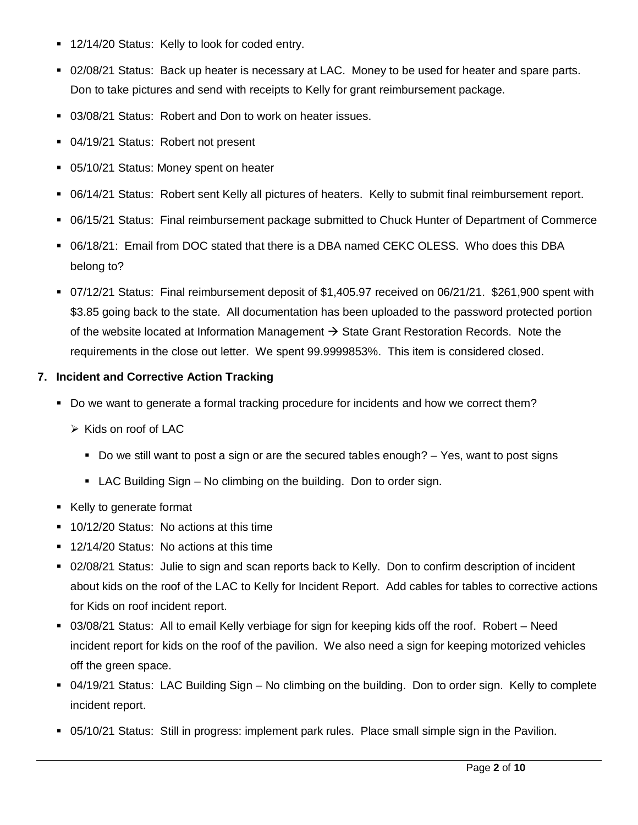- 12/14/20 Status: Kelly to look for coded entry.
- 02/08/21 Status: Back up heater is necessary at LAC. Money to be used for heater and spare parts. Don to take pictures and send with receipts to Kelly for grant reimbursement package.
- 03/08/21 Status: Robert and Don to work on heater issues.
- **04/19/21 Status: Robert not present**
- 05/10/21 Status: Money spent on heater
- 06/14/21 Status: Robert sent Kelly all pictures of heaters. Kelly to submit final reimbursement report.
- 06/15/21 Status: Final reimbursement package submitted to Chuck Hunter of Department of Commerce
- 06/18/21: Email from DOC stated that there is a DBA named CEKC OLESS. Who does this DBA belong to?
- 07/12/21 Status: Final reimbursement deposit of \$1,405.97 received on 06/21/21. \$261,900 spent with \$3.85 going back to the state. All documentation has been uploaded to the password protected portion of the website located at Information Management  $\rightarrow$  State Grant Restoration Records. Note the requirements in the close out letter. We spent 99.9999853%. This item is considered closed.

## **7. Incident and Corrective Action Tracking**

- Do we want to generate a formal tracking procedure for incidents and how we correct them?
	- $\triangleright$  Kids on roof of LAC
		- Do we still want to post a sign or are the secured tables enough?  $-$  Yes, want to post signs
		- LAC Building Sign No climbing on the building. Don to order sign.
- Kelly to generate format
- **10/12/20 Status: No actions at this time**
- 12/14/20 Status: No actions at this time
- 02/08/21 Status: Julie to sign and scan reports back to Kelly. Don to confirm description of incident about kids on the roof of the LAC to Kelly for Incident Report. Add cables for tables to corrective actions for Kids on roof incident report.
- 03/08/21 Status: All to email Kelly verbiage for sign for keeping kids off the roof. Robert Need incident report for kids on the roof of the pavilion. We also need a sign for keeping motorized vehicles off the green space.
- 04/19/21 Status: LAC Building Sign No climbing on the building. Don to order sign. Kelly to complete incident report.
- 05/10/21 Status: Still in progress: implement park rules. Place small simple sign in the Pavilion.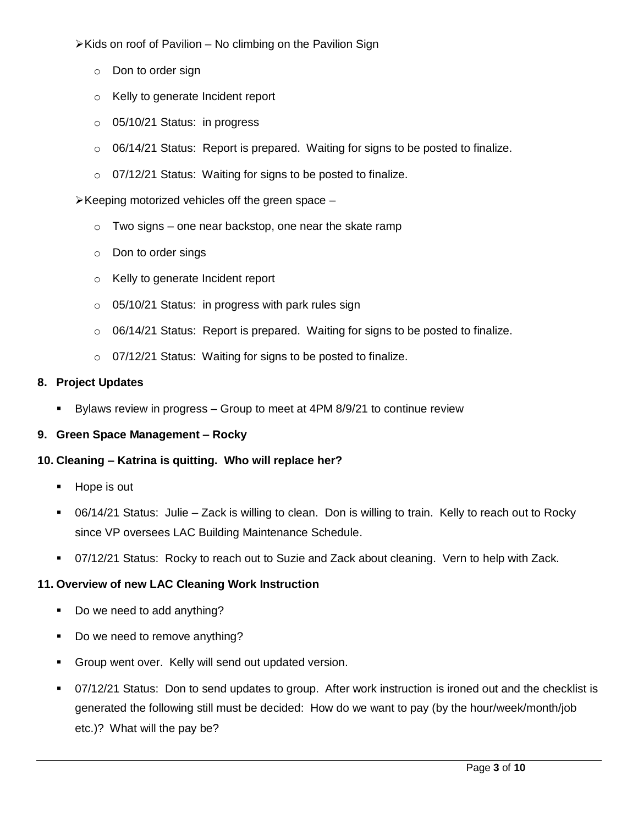$\triangleright$  Kids on roof of Pavilion – No climbing on the Pavilion Sign

- o Don to order sign
- o Kelly to generate Incident report
- o 05/10/21 Status: in progress
- o 06/14/21 Status: Report is prepared. Waiting for signs to be posted to finalize.
- o 07/12/21 Status: Waiting for signs to be posted to finalize.

 $\triangleright$  Keeping motorized vehicles off the green space –

- $\circ$  Two signs one near backstop, one near the skate ramp
- o Don to order sings
- o Kelly to generate Incident report
- $\circ$  05/10/21 Status: in progress with park rules sign
- o 06/14/21 Status: Report is prepared. Waiting for signs to be posted to finalize.
- o 07/12/21 Status: Waiting for signs to be posted to finalize.

#### **8. Project Updates**

Bylaws review in progress – Group to meet at 4PM 8/9/21 to continue review

#### **9. Green Space Management – Rocky**

#### **10. Cleaning – Katrina is quitting. Who will replace her?**

- **Hope is out**
- 06/14/21 Status: Julie Zack is willing to clean. Don is willing to train. Kelly to reach out to Rocky since VP oversees LAC Building Maintenance Schedule.
- 07/12/21 Status: Rocky to reach out to Suzie and Zack about cleaning. Vern to help with Zack.

#### **11. Overview of new LAC Cleaning Work Instruction**

- Do we need to add anything?
- Do we need to remove anything?
- **Group went over. Kelly will send out updated version.**
- 07/12/21 Status: Don to send updates to group. After work instruction is ironed out and the checklist is generated the following still must be decided: How do we want to pay (by the hour/week/month/job etc.)? What will the pay be?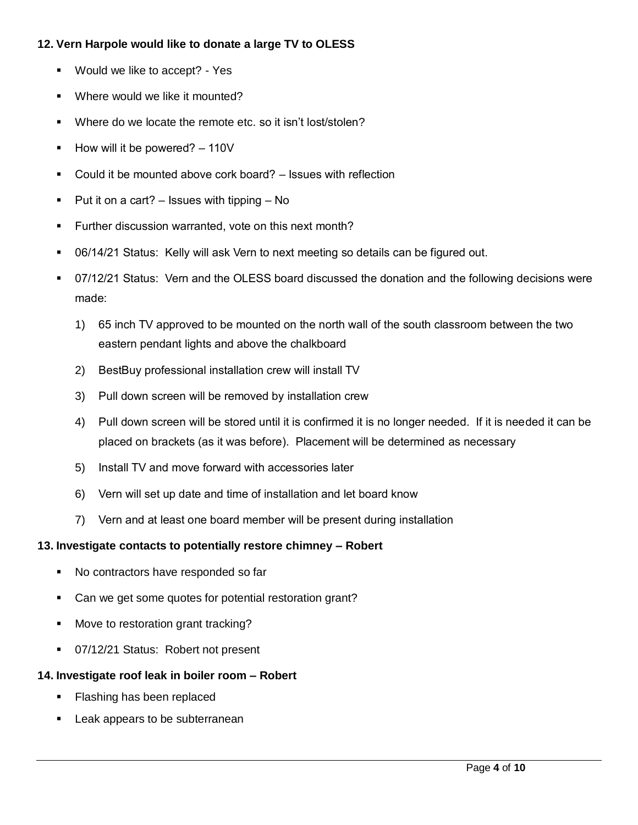## **12. Vern Harpole would like to donate a large TV to OLESS**

- **Would we like to accept? Yes**
- **Where would we like it mounted?**
- Where do we locate the remote etc. so it isn't lost/stolen?
- $\blacksquare$  How will it be powered?  $-110V$
- Could it be mounted above cork board? Issues with reflection
- Put it on a cart?  $-$  Issues with tipping  $-$  No
- **Further discussion warranted, vote on this next month?**
- 06/14/21 Status: Kelly will ask Vern to next meeting so details can be figured out.
- 07/12/21 Status: Vern and the OLESS board discussed the donation and the following decisions were made:
	- 1) 65 inch TV approved to be mounted on the north wall of the south classroom between the two eastern pendant lights and above the chalkboard
	- 2) BestBuy professional installation crew will install TV
	- 3) Pull down screen will be removed by installation crew
	- 4) Pull down screen will be stored until it is confirmed it is no longer needed. If it is needed it can be placed on brackets (as it was before). Placement will be determined as necessary
	- 5) Install TV and move forward with accessories later
	- 6) Vern will set up date and time of installation and let board know
	- 7) Vern and at least one board member will be present during installation

## **13. Investigate contacts to potentially restore chimney – Robert**

- No contractors have responded so far
- Can we get some quotes for potential restoration grant?
- **Move to restoration grant tracking?**
- **07/12/21 Status: Robert not present**

## **14. Investigate roof leak in boiler room – Robert**

- Flashing has been replaced
- Leak appears to be subterranean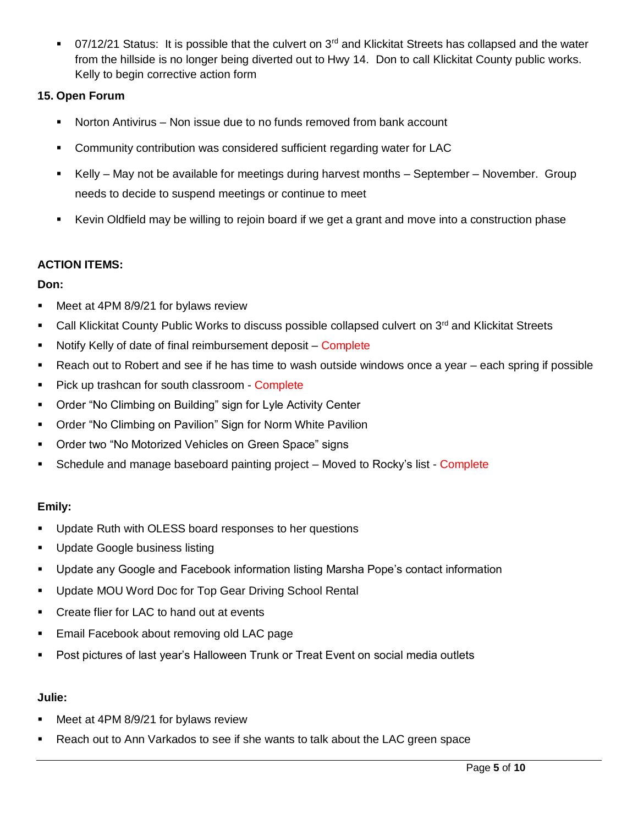$\blacksquare$  07/12/21 Status: It is possible that the culvert on 3<sup>rd</sup> and Klickitat Streets has collapsed and the water from the hillside is no longer being diverted out to Hwy 14. Don to call Klickitat County public works. Kelly to begin corrective action form

# **15. Open Forum**

- Norton Antivirus Non issue due to no funds removed from bank account
- Community contribution was considered sufficient regarding water for LAC
- Kelly May not be available for meetings during harvest months September November. Group needs to decide to suspend meetings or continue to meet
- Kevin Oldfield may be willing to rejoin board if we get a grant and move into a construction phase

## **ACTION ITEMS:**

# **Don:**

- **Meet at 4PM 8/9/21 for bylaws review**
- Call Klickitat County Public Works to discuss possible collapsed culvert on 3rd and Klickitat Streets
- Notify Kelly of date of final reimbursement deposit Complete
- Reach out to Robert and see if he has time to wash outside windows once a year each spring if possible
- Pick up trashcan for south classroom Complete
- Order "No Climbing on Building" sign for Lyle Activity Center
- Order "No Climbing on Pavilion" Sign for Norm White Pavilion
- **Order two "No Motorized Vehicles on Green Space" signs**
- Schedule and manage baseboard painting project Moved to Rocky's list Complete

# **Emily:**

- **Update Ruth with OLESS board responses to her questions**
- **Update Google business listing**
- Update any Google and Facebook information listing Marsha Pope's contact information
- Update MOU Word Doc for Top Gear Driving School Rental
- Create flier for LAC to hand out at events
- **Email Facebook about removing old LAC page**
- Post pictures of last year's Halloween Trunk or Treat Event on social media outlets

## **Julie:**

- Meet at 4PM 8/9/21 for bylaws review
- **Reach out to Ann Varkados to see if she wants to talk about the LAC green space**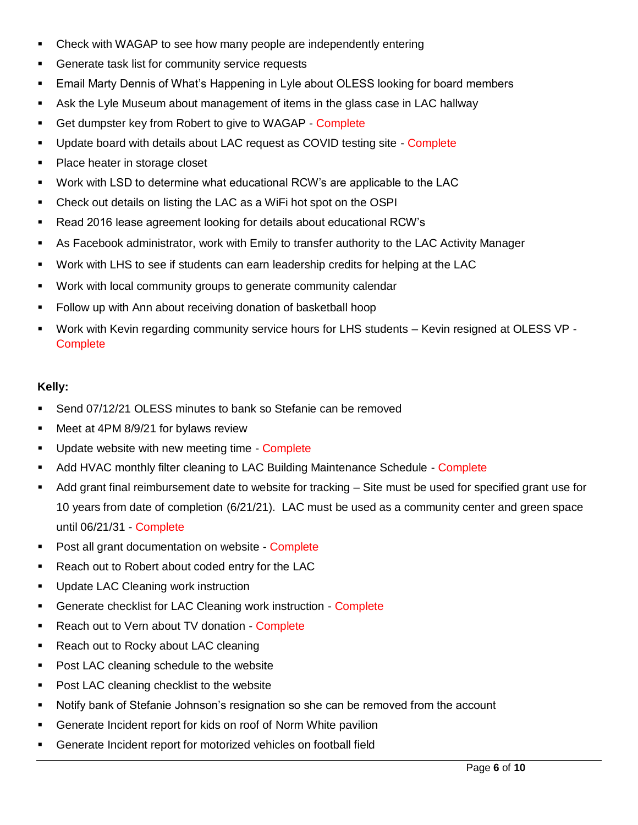- Check with WAGAP to see how many people are independently entering
- Generate task list for community service requests
- Email Marty Dennis of What's Happening in Lyle about OLESS looking for board members
- Ask the Lyle Museum about management of items in the glass case in LAC hallway
- Get dumpster key from Robert to give to WAGAP Complete
- Update board with details about LAC request as COVID testing site Complete
- Place heater in storage closet
- Work with LSD to determine what educational RCW's are applicable to the LAC
- Check out details on listing the LAC as a WiFi hot spot on the OSPI
- Read 2016 lease agreement looking for details about educational RCW's
- As Facebook administrator, work with Emily to transfer authority to the LAC Activity Manager
- Work with LHS to see if students can earn leadership credits for helping at the LAC
- Work with local community groups to generate community calendar
- Follow up with Ann about receiving donation of basketball hoop
- Work with Kevin regarding community service hours for LHS students Kevin resigned at OLESS VP **Complete**

## **Kelly:**

- Send 07/12/21 OLESS minutes to bank so Stefanie can be removed
- **Meet at 4PM 8/9/21 for bylaws review**
- **Update website with new meeting time Complete**
- Add HVAC monthly filter cleaning to LAC Building Maintenance Schedule Complete
- Add grant final reimbursement date to website for tracking Site must be used for specified grant use for 10 years from date of completion (6/21/21). LAC must be used as a community center and green space until 06/21/31 - Complete
- **Post all grant documentation on website Complete**
- Reach out to Robert about coded entry for the LAC
- **Update LAC Cleaning work instruction**
- **-** Generate checklist for LAC Cleaning work instruction Complete
- **Reach out to Vern about TV donation Complete**
- Reach out to Rocky about LAC cleaning
- **Post LAC cleaning schedule to the website**
- **Post LAC cleaning checklist to the website**
- Notify bank of Stefanie Johnson's resignation so she can be removed from the account
- Generate Incident report for kids on roof of Norm White pavilion
- Generate Incident report for motorized vehicles on football field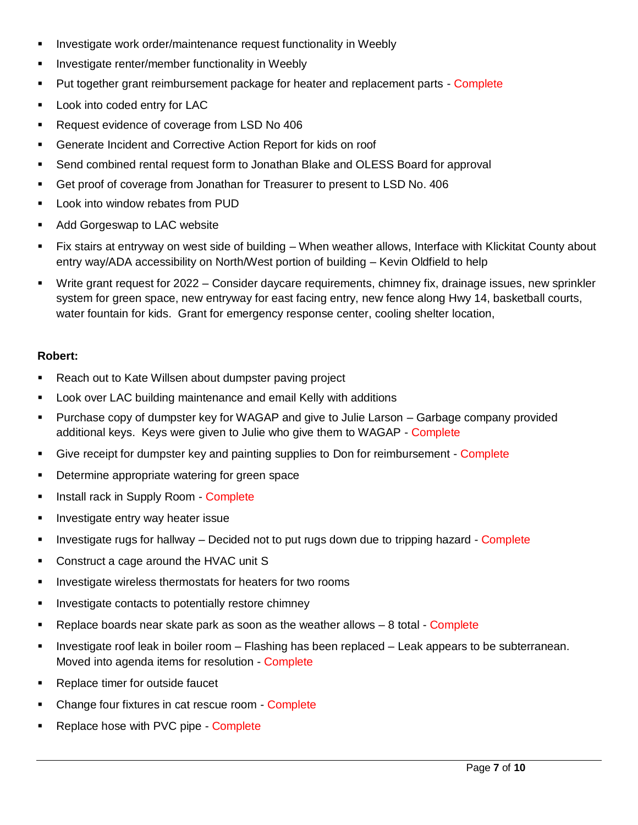- **Investigate work order/maintenance request functionality in Weebly**
- Investigate renter/member functionality in Weebly
- **Put together grant reimbursement package for heater and replacement parts Complete**
- **Look into coded entry for LAC**
- Request evidence of coverage from LSD No 406
- Generate Incident and Corrective Action Report for kids on roof
- Send combined rental request form to Jonathan Blake and OLESS Board for approval
- Get proof of coverage from Jonathan for Treasurer to present to LSD No. 406
- **EXEC** Look into window rebates from PUD
- **Add Gorgeswap to LAC website**
- Fix stairs at entryway on west side of building When weather allows, Interface with Klickitat County about entry way/ADA accessibility on North/West portion of building – Kevin Oldfield to help
- Write grant request for 2022 Consider daycare requirements, chimney fix, drainage issues, new sprinkler system for green space, new entryway for east facing entry, new fence along Hwy 14, basketball courts, water fountain for kids. Grant for emergency response center, cooling shelter location,

#### **Robert:**

- Reach out to Kate Willsen about dumpster paving project
- Look over LAC building maintenance and email Kelly with additions
- Purchase copy of dumpster key for WAGAP and give to Julie Larson Garbage company provided additional keys. Keys were given to Julie who give them to WAGAP - Complete
- Give receipt for dumpster key and painting supplies to Don for reimbursement Complete
- **•** Determine appropriate watering for green space
- **Install rack in Supply Room Complete**
- **Investigate entry way heater issue**
- Investigate rugs for hallway Decided not to put rugs down due to tripping hazard Complete
- Construct a cage around the HVAC unit S
- **Investigate wireless thermostats for heaters for two rooms**
- **Investigate contacts to potentially restore chimney**
- Replace boards near skate park as soon as the weather allows  $-8$  total  $\overline{\phantom{a}}$ -Complete
- **Investigate roof leak in boiler room Flashing has been replaced Leak appears to be subterranean.** Moved into agenda items for resolution - Complete
- Replace timer for outside faucet
- Change four fixtures in cat rescue room Complete
- Replace hose with PVC pipe Complete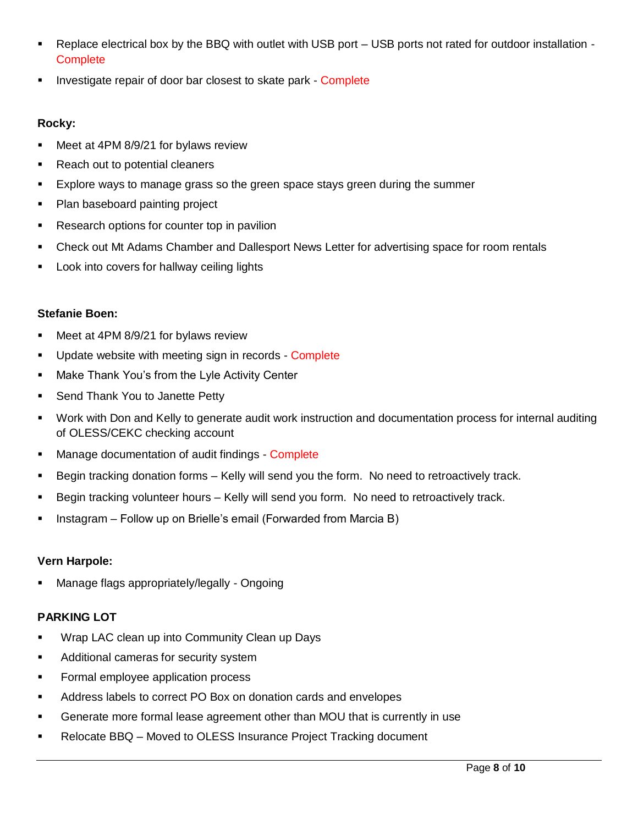- Replace electrical box by the BBQ with outlet with USB port USB ports not rated for outdoor installation **Complete**
- **Investigate repair of door bar closest to skate park Complete**

## **Rocky:**

- Meet at 4PM 8/9/21 for bylaws review
- Reach out to potential cleaners
- Explore ways to manage grass so the green space stays green during the summer
- Plan baseboard painting project
- Research options for counter top in pavilion
- Check out Mt Adams Chamber and Dallesport News Letter for advertising space for room rentals
- Look into covers for hallway ceiling lights

#### **Stefanie Boen:**

- **Meet at 4PM 8/9/21 for bylaws review**
- **Update website with meeting sign in records Complete**
- **Make Thank You's from the Lyle Activity Center**
- **Send Thank You to Janette Petty**
- Work with Don and Kelly to generate audit work instruction and documentation process for internal auditing of OLESS/CEKC checking account
- **Manage documentation of audit findings Complete**
- Begin tracking donation forms Kelly will send you the form. No need to retroactively track.
- **Begin tracking volunteer hours Kelly will send you form. No need to retroactively track.**
- **Instagram Follow up on Brielle's email (Forwarded from Marcia B)**

## **Vern Harpole:**

Manage flags appropriately/legally - Ongoing

## **PARKING LOT**

- **Wrap LAC clean up into Community Clean up Days**
- **Additional cameras for security system**
- **Formal employee application process**
- Address labels to correct PO Box on donation cards and envelopes
- Generate more formal lease agreement other than MOU that is currently in use
- Relocate BBQ Moved to OLESS Insurance Project Tracking document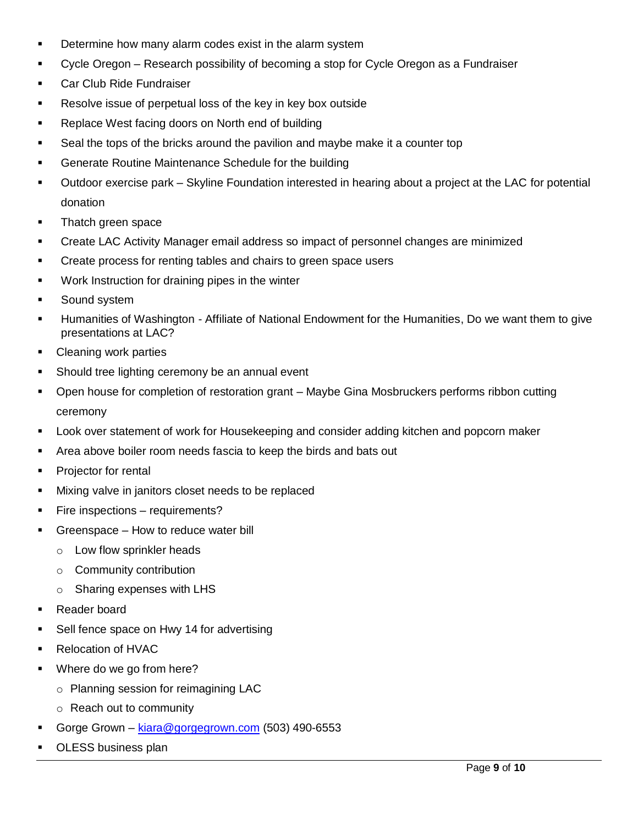- Determine how many alarm codes exist in the alarm system
- Cycle Oregon Research possibility of becoming a stop for Cycle Oregon as a Fundraiser
- **Car Club Ride Fundraiser**
- **Resolve issue of perpetual loss of the key in key box outside**
- Replace West facing doors on North end of building
- Seal the tops of the bricks around the pavilion and maybe make it a counter top
- **Generate Routine Maintenance Schedule for the building**
- Outdoor exercise park Skyline Foundation interested in hearing about a project at the LAC for potential donation
- Thatch green space
- Create LAC Activity Manager email address so impact of personnel changes are minimized
- **EXECT** Create process for renting tables and chairs to green space users
- **Work Instruction for draining pipes in the winter**
- Sound system
- Humanities of Washington Affiliate of National Endowment for the Humanities, Do we want them to give presentations at LAC?
- Cleaning work parties
- Should tree lighting ceremony be an annual event
- Open house for completion of restoration grant Maybe Gina Mosbruckers performs ribbon cutting ceremony
- Look over statement of work for Housekeeping and consider adding kitchen and popcorn maker
- Area above boiler room needs fascia to keep the birds and bats out
- **Projector for rental**
- **Mixing valve in janitors closet needs to be replaced**
- **Fire inspections requirements?**
- Greenspace How to reduce water bill
	- o Low flow sprinkler heads
	- o Community contribution
	- o Sharing expenses with LHS
- Reader board
- Sell fence space on Hwy 14 for advertising
- Relocation of HVAC
- Where do we go from here?
	- o Planning session for reimagining LAC
	- o Reach out to community
- Gorge Grown [kiara@gorgegrown.com](mailto:kiara@gorgegrown.com) (503) 490-6553
- OLESS business plan